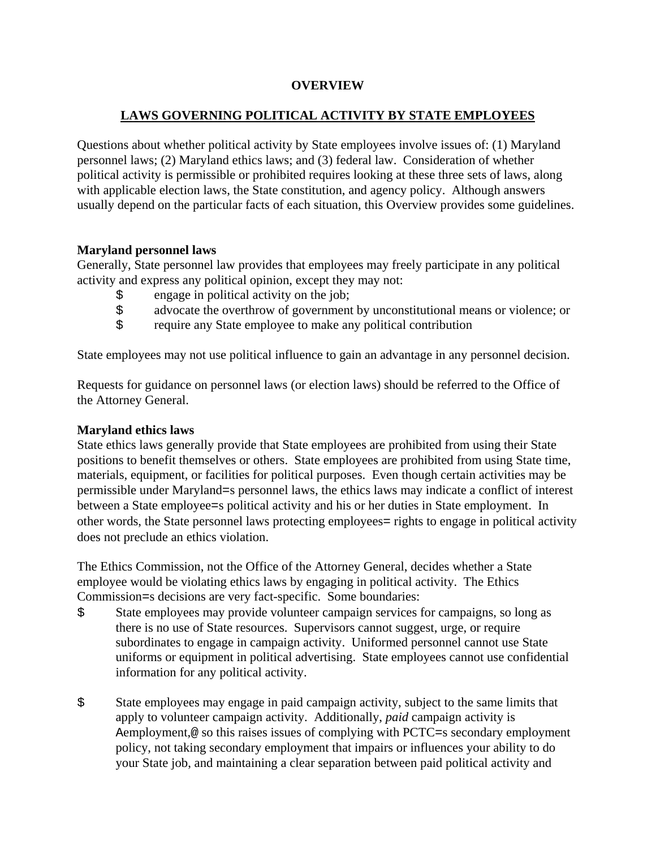## **OVERVIEW**

# **LAWS GOVERNING POLITICAL ACTIVITY BY STATE EMPLOYEES**

Questions about whether political activity by State employees involve issues of: (1) Maryland personnel laws; (2) Maryland ethics laws; and (3) federal law. Consideration of whether political activity is permissible or prohibited requires looking at these three sets of laws, along with applicable election laws, the State constitution, and agency policy. Although answers usually depend on the particular facts of each situation, this Overview provides some guidelines.

## **Maryland personnel laws**

Generally, State personnel law provides that employees may freely participate in any political activity and express any political opinion, except they may not:

- \$ engage in political activity on the job;
- \$ advocate the overthrow of government by unconstitutional means or violence; or
- \$ require any State employee to make any political contribution

State employees may not use political influence to gain an advantage in any personnel decision.

Requests for guidance on personnel laws (or election laws) should be referred to the Office of the Attorney General.

### **Maryland ethics laws**

State ethics laws generally provide that State employees are prohibited from using their State positions to benefit themselves or others. State employees are prohibited from using State time, materials, equipment, or facilities for political purposes. Even though certain activities may be permissible under Maryland=s personnel laws, the ethics laws may indicate a conflict of interest between a State employee=s political activity and his or her duties in State employment. In other words, the State personnel laws protecting employees= rights to engage in political activity does not preclude an ethics violation.

The Ethics Commission, not the Office of the Attorney General, decides whether a State employee would be violating ethics laws by engaging in political activity. The Ethics Commission=s decisions are very fact-specific. Some boundaries:

- \$ State employees may provide volunteer campaign services for campaigns, so long as there is no use of State resources. Supervisors cannot suggest, urge, or require subordinates to engage in campaign activity. Uniformed personnel cannot use State uniforms or equipment in political advertising. State employees cannot use confidential information for any political activity.
- \$ State employees may engage in paid campaign activity, subject to the same limits that apply to volunteer campaign activity. Additionally, *paid* campaign activity is Aemployment,@ so this raises issues of complying with PCTC=s secondary employment policy, not taking secondary employment that impairs or influences your ability to do your State job, and maintaining a clear separation between paid political activity and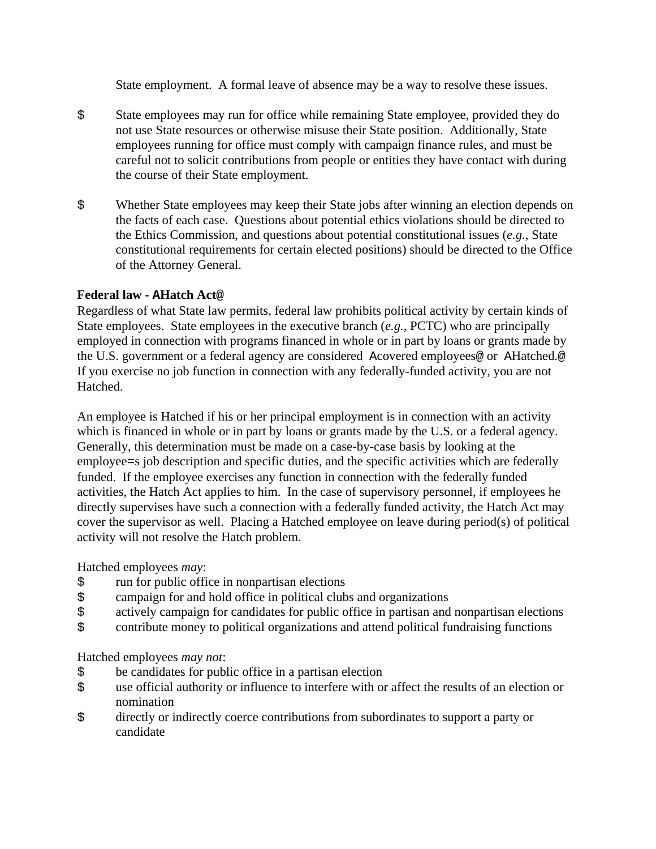State employment. A formal leave of absence may be a way to resolve these issues.

- \$ State employees may run for office while remaining State employee, provided they do not use State resources or otherwise misuse their State position. Additionally, State employees running for office must comply with campaign finance rules, and must be careful not to solicit contributions from people or entities they have contact with during the course of their State employment.
- \$ Whether State employees may keep their State jobs after winning an election depends on the facts of each case. Questions about potential ethics violations should be directed to the Ethics Commission, and questions about potential constitutional issues (*e.g.*, State constitutional requirements for certain elected positions) should be directed to the Office of the Attorney General.

# **Federal law - AHatch Act@**

Regardless of what State law permits, federal law prohibits political activity by certain kinds of State employees. State employees in the executive branch (*e.g.*, PCTC) who are principally employed in connection with programs financed in whole or in part by loans or grants made by the U.S. government or a federal agency are considered Acovered employees@ or AHatched.@ If you exercise no job function in connection with any federally-funded activity, you are not Hatched.

An employee is Hatched if his or her principal employment is in connection with an activity which is financed in whole or in part by loans or grants made by the U.S. or a federal agency. Generally, this determination must be made on a case-by-case basis by looking at the employee=s job description and specific duties, and the specific activities which are federally funded. If the employee exercises any function in connection with the federally funded activities, the Hatch Act applies to him. In the case of supervisory personnel, if employees he directly supervises have such a connection with a federally funded activity, the Hatch Act may cover the supervisor as well. Placing a Hatched employee on leave during period(s) of political activity will not resolve the Hatch problem.

Hatched employees *may*:

- \$ run for public office in nonpartisan elections
- \$ campaign for and hold office in political clubs and organizations<br>\$ actively campaign for candidates for public office in partisan and
- actively campaign for candidates for public office in partisan and nonpartisan elections
- \$ contribute money to political organizations and attend political fundraising functions

Hatched employees *may not*:

- \$ be candidates for public office in a partisan election
- \$ use official authority or influence to interfere with or affect the results of an election or nomination
- \$ directly or indirectly coerce contributions from subordinates to support a party or candidate